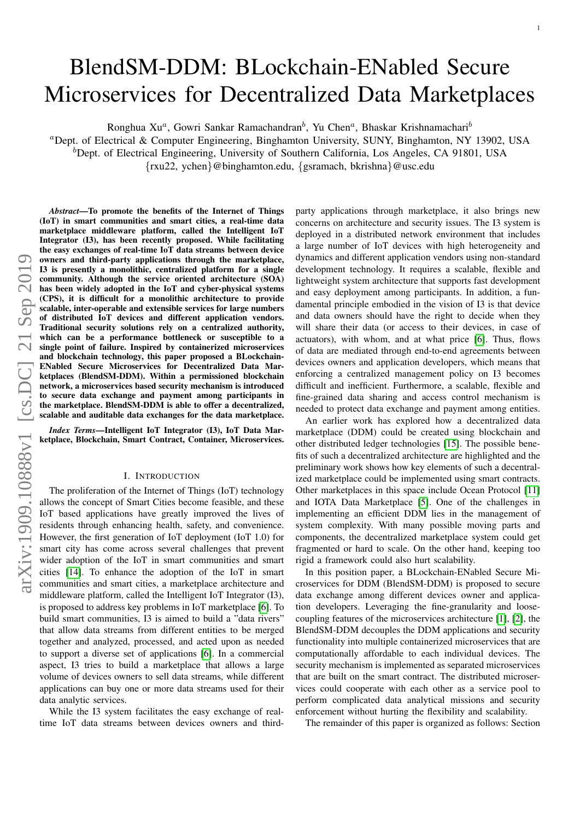# BlendSM-DDM: BLockchain-ENabled Secure Microservices for Decentralized Data Marketplaces

Ronghua Xu<sup>a</sup>, Gowri Sankar Ramachandran<sup>b</sup>, Yu Chen<sup>a</sup>, Bhaskar Krishnamachari<sup>b</sup>

 ${}^a$ Dept. of Electrical & Computer Engineering, Binghamton University, SUNY, Binghamton, NY 13902, USA

 $b$ Dept. of Electrical Engineering, University of Southern California, Los Angeles, CA 91801, USA

{rxu22, ychen}@binghamton.edu, {gsramach, bkrishna}@usc.edu

*Abstract*—To promote the benefits of the Internet of Things (IoT) in smart communities and smart cities, a real-time data marketplace middleware platform, called the Intelligent IoT Integrator (I3), has been recently proposed. While facilitating the easy exchanges of real-time IoT data streams between device owners and third-party applications through the marketplace, I3 is presently a monolithic, centralized platform for a single community. Although the service oriented architecture (SOA) has been widely adopted in the IoT and cyber-physical systems (CPS), it is difficult for a monolithic architecture to provide scalable, inter-operable and extensible services for large numbers of distributed IoT devices and different application vendors. Traditional security solutions rely on a centralized authority, which can be a performance bottleneck or susceptible to a single point of failure. Inspired by containerized microservices and blockchain technology, this paper proposed a BLockchain-ENabled Secure Microservices for Decentralized Data Marketplaces (BlendSM-DDM). Within a permissioned blockchain network, a microservices based security mechanism is introduced to secure data exchange and payment among participants in the marketplace. BlendSM-DDM is able to offer a decentralized, scalable and auditable data exchanges for the data marketplace.

*Index Terms*—Intelligent IoT Integrator (I3), IoT Data Marketplace, Blockchain, Smart Contract, Container, Microservices.

## I. INTRODUCTION

The proliferation of the Internet of Things (IoT) technology allows the concept of Smart Cities become feasible, and these IoT based applications have greatly improved the lives of residents through enhancing health, safety, and convenience. However, the first generation of IoT deployment (IoT 1.0) for smart city has come across several challenges that prevent wider adoption of the IoT in smart communities and smart cities [\[14\]](#page-3-0). To enhance the adoption of the IoT in smart communities and smart cities, a marketplace architecture and middleware platform, called the Intelligent IoT Integrator (I3), is proposed to address key problems in IoT marketplace [\[6\]](#page-3-1). To build smart communities, I3 is aimed to build a "data rivers" that allow data streams from different entities to be merged together and analyzed, processed, and acted upon as needed to support a diverse set of applications [\[6\]](#page-3-1). In a commercial aspect, I3 tries to build a marketplace that allows a large volume of devices owners to sell data streams, while different applications can buy one or more data streams used for their data analytic services.

While the I3 system facilitates the easy exchange of realtime IoT data streams between devices owners and third-

party applications through marketplace, it also brings new concerns on architecture and security issues. The I3 system is deployed in a distributed network environment that includes a large number of IoT devices with high heterogeneity and dynamics and different application vendors using non-standard development technology. It requires a scalable, flexible and lightweight system architecture that supports fast development and easy deployment among participants. In addition, a fundamental principle embodied in the vision of I3 is that device and data owners should have the right to decide when they will share their data (or access to their devices, in case of actuators), with whom, and at what price [\[6\]](#page-3-1). Thus, flows of data are mediated through end-to-end agreements between devices owners and application developers, which means that enforcing a centralized management policy on I3 becomes difficult and inefficient. Furthermore, a scalable, flexible and fine-grained data sharing and access control mechanism is needed to protect data exchange and payment among entities.

1

An earlier work has explored how a decentralized data marketplace (DDM) could be created using blockchain and other distributed ledger technologies [\[15\]](#page-3-2). The possible benefits of such a decentralized architecture are highlighted and the preliminary work shows how key elements of such a decentralized marketplace could be implemented using smart contracts. Other marketplaces in this space include Ocean Protocol [\[11\]](#page-3-3) and IOTA Data Marketplace [\[5\]](#page-3-4). One of the challenges in implementing an efficient DDM lies in the management of system complexity. With many possible moving parts and components, the decentralized marketplace system could get fragmented or hard to scale. On the other hand, keeping too rigid a framework could also hurt scalability.

In this position paper, a BLockchain-ENabled Secure Microservices for DDM (BlendSM-DDM) is proposed to secure data exchange among different devices owner and application developers. Leveraging the fine-granularity and loosecoupling features of the microservices architecture [\[1\]](#page-3-5), [\[2\]](#page-3-6), the BlendSM-DDM decouples the DDM applications and security functionality into multiple containerized microservices that are computationally affordable to each individual devices. The security mechanism is implemented as separated microservices that are built on the smart contract. The distributed microservices could cooperate with each other as a service pool to perform complicated data analytical missions and security enforcement without hurting the flexibility and scalability.

The remainder of this paper is organized as follows: Section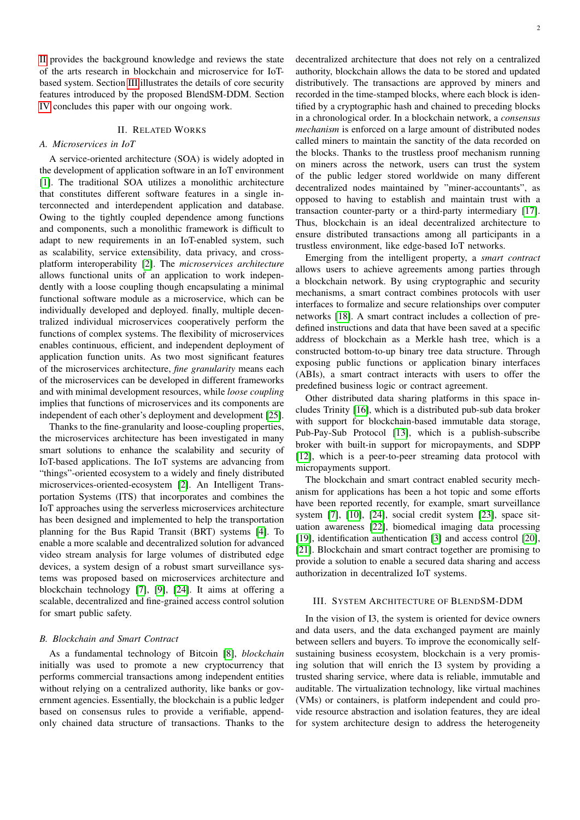[II](#page-1-0) provides the background knowledge and reviews the state of the arts research in blockchain and microservice for IoTbased system. Section [III](#page-1-1) illustrates the details of core security features introduced by the proposed BlendSM-DDM. Section [IV](#page-3-7) concludes this paper with our ongoing work.

## II. RELATED WORKS

## <span id="page-1-0"></span>*A. Microservices in IoT*

A service-oriented architecture (SOA) is widely adopted in the development of application software in an IoT environment [\[1\]](#page-3-5). The traditional SOA utilizes a monolithic architecture that constitutes different software features in a single interconnected and interdependent application and database. Owing to the tightly coupled dependence among functions and components, such a monolithic framework is difficult to adapt to new requirements in an IoT-enabled system, such as scalability, service extensibility, data privacy, and crossplatform interoperability [\[2\]](#page-3-6). The *microservices architecture* allows functional units of an application to work independently with a loose coupling though encapsulating a minimal functional software module as a microservice, which can be individually developed and deployed. finally, multiple decentralized individual microservices cooperatively perform the functions of complex systems. The flexibility of microservices enables continuous, efficient, and independent deployment of application function units. As two most significant features of the microservices architecture, *fine granularity* means each of the microservices can be developed in different frameworks and with minimal development resources, while *loose coupling* implies that functions of microservices and its components are independent of each other's deployment and development [\[25\]](#page-3-8).

Thanks to the fine-granularity and loose-coupling properties, the microservices architecture has been investigated in many smart solutions to enhance the scalability and security of IoT-based applications. The IoT systems are advancing from "things"-oriented ecosystem to a widely and finely distributed microservices-oriented-ecosystem [\[2\]](#page-3-6). An Intelligent Transportation Systems (ITS) that incorporates and combines the IoT approaches using the serverless microservices architecture has been designed and implemented to help the transportation planning for the Bus Rapid Transit (BRT) systems [\[4\]](#page-3-9). To enable a more scalable and decentralized solution for advanced video stream analysis for large volumes of distributed edge devices, a system design of a robust smart surveillance systems was proposed based on microservices architecture and blockchain technology [\[7\]](#page-3-10), [\[9\]](#page-3-11), [\[24\]](#page-3-12). It aims at offering a scalable, decentralized and fine-grained access control solution for smart public safety.

## *B. Blockchain and Smart Contract*

As a fundamental technology of Bitcoin [\[8\]](#page-3-13), *blockchain* initially was used to promote a new cryptocurrency that performs commercial transactions among independent entities without relying on a centralized authority, like banks or government agencies. Essentially, the blockchain is a public ledger based on consensus rules to provide a verifiable, appendonly chained data structure of transactions. Thanks to the

decentralized architecture that does not rely on a centralized authority, blockchain allows the data to be stored and updated distributively. The transactions are approved by miners and recorded in the time-stamped blocks, where each block is identified by a cryptographic hash and chained to preceding blocks in a chronological order. In a blockchain network, a *consensus mechanism* is enforced on a large amount of distributed nodes called miners to maintain the sanctity of the data recorded on the blocks. Thanks to the trustless proof mechanism running on miners across the network, users can trust the system of the public ledger stored worldwide on many different decentralized nodes maintained by "miner-accountants", as opposed to having to establish and maintain trust with a transaction counter-party or a third-party intermediary [\[17\]](#page-3-14). Thus, blockchain is an ideal decentralized architecture to ensure distributed transactions among all participants in a trustless environment, like edge-based IoT networks.

Emerging from the intelligent property, a *smart contract* allows users to achieve agreements among parties through a blockchain network. By using cryptographic and security mechanisms, a smart contract combines protocols with user interfaces to formalize and secure relationships over computer networks [\[18\]](#page-3-15). A smart contract includes a collection of predefined instructions and data that have been saved at a specific address of blockchain as a Merkle hash tree, which is a constructed bottom-to-up binary tree data structure. Through exposing public functions or application binary interfaces (ABIs), a smart contract interacts with users to offer the predefined business logic or contract agreement.

Other distributed data sharing platforms in this space includes Trinity [\[16\]](#page-3-16), which is a distributed pub-sub data broker with support for blockchain-based immutable data storage, Pub-Pay-Sub Protocol [\[13\]](#page-3-17), which is a publish-subscribe broker with built-in support for micropayments, and SDPP [\[12\]](#page-3-18), which is a peer-to-peer streaming data protocol with micropayments support.

The blockchain and smart contract enabled security mechanism for applications has been a hot topic and some efforts have been reported recently, for example, smart surveillance system [\[7\]](#page-3-10), [\[10\]](#page-3-19), [\[24\]](#page-3-12), social credit system [\[23\]](#page-3-20), space situation awareness [\[22\]](#page-3-21), biomedical imaging data processing [\[19\]](#page-3-22), identification authentication [\[3\]](#page-3-23) and access control [\[20\]](#page-3-24), [\[21\]](#page-3-25). Blockchain and smart contract together are promising to provide a solution to enable a secured data sharing and access authorization in decentralized IoT systems.

# <span id="page-1-1"></span>III. SYSTEM ARCHITECTURE OF BLENDSM-DDM

In the vision of I3, the system is oriented for device owners and data users, and the data exchanged payment are mainly between sellers and buyers. To improve the economically selfsustaining business ecosystem, blockchain is a very promising solution that will enrich the I3 system by providing a trusted sharing service, where data is reliable, immutable and auditable. The virtualization technology, like virtual machines (VMs) or containers, is platform independent and could provide resource abstraction and isolation features, they are ideal for system architecture design to address the heterogeneity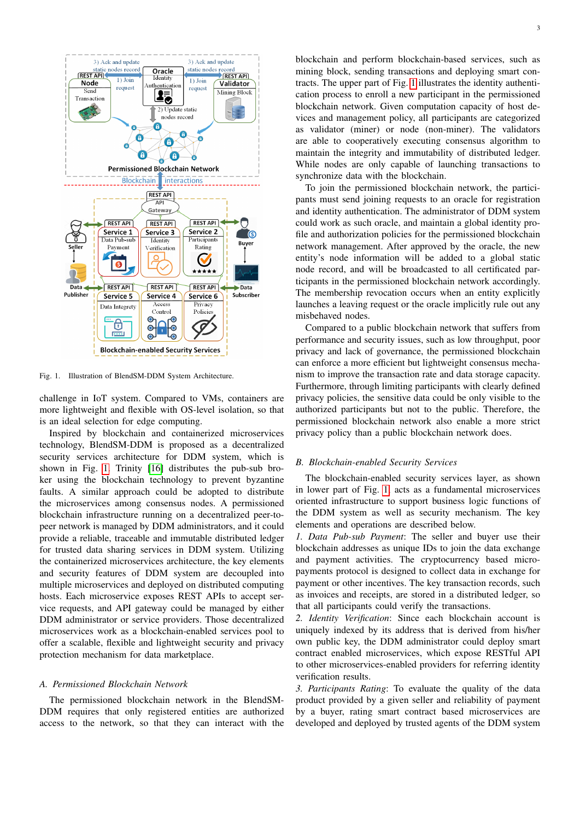

<span id="page-2-0"></span>Fig. 1. Illustration of BlendSM-DDM System Architecture.

challenge in IoT system. Compared to VMs, containers are more lightweight and flexible with OS-level isolation, so that is an ideal selection for edge computing.

Inspired by blockchain and containerized microservices technology, BlendSM-DDM is proposed as a decentralized security services architecture for DDM system, which is shown in Fig. [1.](#page-2-0) Trinity [\[16\]](#page-3-16) distributes the pub-sub broker using the blockchain technology to prevent byzantine faults. A similar approach could be adopted to distribute the microservices among consensus nodes. A permissioned blockchain infrastructure running on a decentralized peer-topeer network is managed by DDM administrators, and it could provide a reliable, traceable and immutable distributed ledger for trusted data sharing services in DDM system. Utilizing the containerized microservices architecture, the key elements and security features of DDM system are decoupled into multiple microservices and deployed on distributed computing hosts. Each microservice exposes REST APIs to accept service requests, and API gateway could be managed by either DDM administrator or service providers. Those decentralized microservices work as a blockchain-enabled services pool to offer a scalable, flexible and lightweight security and privacy protection mechanism for data marketplace.

# *A. Permissioned Blockchain Network*

The permissioned blockchain network in the BlendSM-DDM requires that only registered entities are authorized access to the network, so that they can interact with the

blockchain and perform blockchain-based services, such as mining block, sending transactions and deploying smart contracts. The upper part of Fig. [1](#page-2-0) illustrates the identity authentication process to enroll a new participant in the permissioned blockchain network. Given computation capacity of host devices and management policy, all participants are categorized as validator (miner) or node (non-miner). The validators are able to cooperatively executing consensus algorithm to maintain the integrity and immutability of distributed ledger. While nodes are only capable of launching transactions to synchronize data with the blockchain.

To join the permissioned blockchain network, the participants must send joining requests to an oracle for registration and identity authentication. The administrator of DDM system could work as such oracle, and maintain a global identity profile and authorization policies for the permissioned blockchain network management. After approved by the oracle, the new entity's node information will be added to a global static node record, and will be broadcasted to all certificated participants in the permissioned blockchain network accordingly. The membership revocation occurs when an entity explicitly launches a leaving request or the oracle implicitly rule out any misbehaved nodes.

Compared to a public blockchain network that suffers from performance and security issues, such as low throughput, poor privacy and lack of governance, the permissioned blockchain can enforce a more efficient but lightweight consensus mechanism to improve the transaction rate and data storage capacity. Furthermore, through limiting participants with clearly defined privacy policies, the sensitive data could be only visible to the authorized participants but not to the public. Therefore, the permissioned blockchain network also enable a more strict privacy policy than a public blockchain network does.

# *B. Blockchain-enabled Security Services*

The blockchain-enabled security services layer, as shown in lower part of Fig. [1,](#page-2-0) acts as a fundamental microservices oriented infrastructure to support business logic functions of the DDM system as well as security mechanism. The key elements and operations are described below.

*1. Data Pub-sub Payment*: The seller and buyer use their blockchain addresses as unique IDs to join the data exchange and payment activities. The cryptocurrency based micropayments protocol is designed to collect data in exchange for payment or other incentives. The key transaction records, such as invoices and receipts, are stored in a distributed ledger, so that all participants could verify the transactions.

*2. Identity Verification*: Since each blockchain account is uniquely indexed by its address that is derived from his/her own public key, the DDM administrator could deploy smart contract enabled microservices, which expose RESTful API to other microservices-enabled providers for referring identity verification results.

*3. Participants Rating*: To evaluate the quality of the data product provided by a given seller and reliability of payment by a buyer, rating smart contract based microservices are developed and deployed by trusted agents of the DDM system